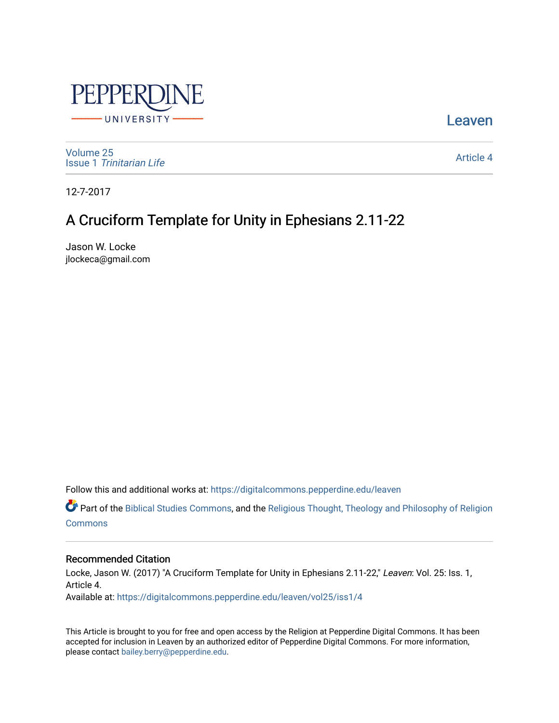

**Leaven** 

[Volume 25](https://digitalcommons.pepperdine.edu/leaven/vol25) Issue 1 [Trinitarian Life](https://digitalcommons.pepperdine.edu/leaven/vol25/iss1) 

[Article 4](https://digitalcommons.pepperdine.edu/leaven/vol25/iss1/4) 

12-7-2017

## A Cruciform Template for Unity in Ephesians 2.11-22

Jason W. Locke jlockeca@gmail.com

Follow this and additional works at: [https://digitalcommons.pepperdine.edu/leaven](https://digitalcommons.pepperdine.edu/leaven?utm_source=digitalcommons.pepperdine.edu%2Fleaven%2Fvol25%2Fiss1%2F4&utm_medium=PDF&utm_campaign=PDFCoverPages)

Part of the [Biblical Studies Commons,](http://network.bepress.com/hgg/discipline/539?utm_source=digitalcommons.pepperdine.edu%2Fleaven%2Fvol25%2Fiss1%2F4&utm_medium=PDF&utm_campaign=PDFCoverPages) and the [Religious Thought, Theology and Philosophy of Religion](http://network.bepress.com/hgg/discipline/544?utm_source=digitalcommons.pepperdine.edu%2Fleaven%2Fvol25%2Fiss1%2F4&utm_medium=PDF&utm_campaign=PDFCoverPages)  **[Commons](http://network.bepress.com/hgg/discipline/544?utm_source=digitalcommons.pepperdine.edu%2Fleaven%2Fvol25%2Fiss1%2F4&utm_medium=PDF&utm_campaign=PDFCoverPages)** 

### Recommended Citation

Locke, Jason W. (2017) "A Cruciform Template for Unity in Ephesians 2.11-22," Leaven: Vol. 25: Iss. 1, Article 4. Available at: [https://digitalcommons.pepperdine.edu/leaven/vol25/iss1/4](https://digitalcommons.pepperdine.edu/leaven/vol25/iss1/4?utm_source=digitalcommons.pepperdine.edu%2Fleaven%2Fvol25%2Fiss1%2F4&utm_medium=PDF&utm_campaign=PDFCoverPages)

This Article is brought to you for free and open access by the Religion at Pepperdine Digital Commons. It has been accepted for inclusion in Leaven by an authorized editor of Pepperdine Digital Commons. For more information, please contact [bailey.berry@pepperdine.edu](mailto:bailey.berry@pepperdine.edu).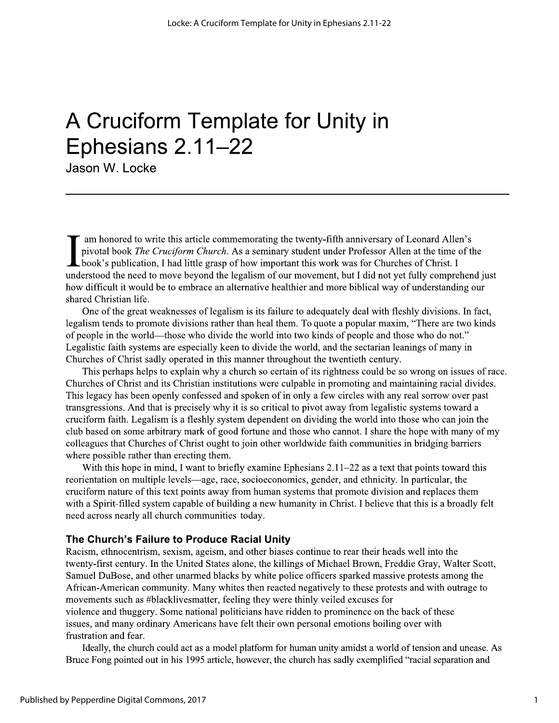# A Cruciform Template for Unity in Ephesians 2.11-22

Jason W. Locke

am honored to write this article commemorating the twenty-fifth anniversary of Leonard Allen's pivotal book The Cruciform Church. As a seminary student under Professor Allen at the time of the L book's publication, I had little grasp of how important this work was for Churches of Christ. I understood the need to move beyond the legalism of our movement, but I did not yet fully comprehend just how difficult it would be to embrace an alternative healthier and more biblical way of understanding our shared Christian life.

One of the great weaknesses of legalism is its failure to adequately deal with fleshly divisions. In fact, legalism tends to promote divisions rather than heal them. To quote a popular maxim, "There are two kinds of people in the world—those who divide the world into two kinds of people and those who do not." Legalistic faith systems are especially keen to divide the world, and the sectarian leanings of many in Churches of Christ sadly operated in this manner throughout the twentieth century.

This perhaps helps to explain why a church so certain of its rightness could be so wrong on issues of race. Churches of Christ and its Christian institutions were culpable in promoting and maintaining racial divides. This legacy has been openly confessed and spoken of in only a few circles with any real sorrow over past transgressions. And that is precisely why it is so critical to pivot away from legalistic systems toward a cruciform faith. Legalism is a fleshly system dependent on dividing the world into those who can join the club based on some arbitrary mark of good fortune and those who cannot. I share the hope with many of my colleagues that Churches of Christ ought to join other worldwide faith communities in bridging barriers where possible rather than erecting them.

With this hope in mind, I want to briefly examine Ephesians  $2.11 - 22$  as a text that points toward this reorientation on multiple levels—age, race, socioeconomics, gender, and ethnicity. In particular, the cruciform nature of this text points away from human systems that promote division and replaces them with a Spirit-filled system capable of building a new humanity in Christ. I believe that this is a broadly felt need across nearly all church communities today.

### The Church's Failure to Produce Racial Unity

Racism, ethnocentrism, sexism, ageism, and other biases continue to rear their heads well into the twenty-first century. In the United States alone, the killings of Michael Brown, Freddie Gray, Walter Scott, Samuel DuBose, and other unarmed blacks by white police officers sparked massive protests among the African-American community. Many whites then reacted negatively to these protests and with outrage to movements such as #blacklivesmatter, feeling they were thinly veiled excuses for violence and thuggery. Some national politicians have ridden to prominence on the back of these issues, and many ordinary Americans have felt their own personal emotions boiling over with frustration and fear.

Ideally, the church could act as a model platform for human unity amidst a world of tension and unease. As Bruce Fong pointed out in his 1995 article, however, the church has sadly exemplified "racial separation and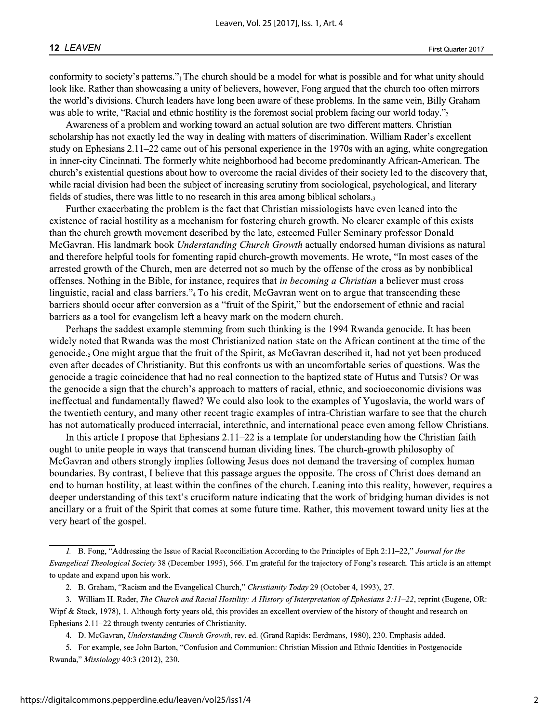conformity to society's patterns." The church should be a model for what is possible and for what unity should look like. Rather than showcasing a unity of believers, however, Fong argued that the church too often mirrors the world's divisions. Church leaders have long been aware of these problems. In the same vein, Billy Graham was able to write, "Racial and ethnic hostility is the foremost social problem facing our world today."

Awareness of a problem and working toward an actual solution are two different matters. Christian scholarship has not exactly led the way in dealing with matters of discrimination. William Rader's excellent study on Ephesians  $2.11-22$  came out of his personal experience in the 1970s with an aging, white congregation in inner-city Cincinnati. The formerly white neighborhood had become predominantly African-American. The church's existential questions about how to overcome the racial divides of their society led to the discovery that, while racial division had been the subject of increasing scrutiny from sociological, psychological, and literary fields of studies, there was little to no research in this area among biblical scholars.

Further exacerbating the problem is the fact that Christian missiologists have even leaned into the existence of racial hostility as a mechanism for fostering church growth. No clearer example of this exists than the church growth movement described by the late, esteemed Fuller Seminary professor Donald McGavran. His landmark book Understanding Church Growth actually endorsed human divisions as natural and therefore helpful tools for fomenting rapid church-growth movements. He wrote, "In most cases of the arrested growth of the Church, men are deterred not so much by the offense of the cross as by nonbiblical offenses. Nothing in the Bible, for instance, requires that in becoming a Christian a believer must cross linguistic, racial and class barriers."<sub>4</sub>To his credit, McGavran went on to argue that transcending these barriers should occur after conversion as a "fruit of the Spirit," but the endorsement of ethnic and racial barriers as a tool for evangelism left a heavy mark on the modern church.

Perhaps the saddest example stemming from such thinking is the 1994 Rwanda genocide. It has been widely noted that Rwanda was the most Christianized nation-state on the African continent at the time of the genocide.<sub>5</sub> One might argue that the fruit of the Spirit, as McGavran described it, had not yet been produced even after decades of Christianity. But this confronts us with an uncomfortable series of questions. Was the genocide a tragic coincidence that had no real connection to the baptized state of Hutus and Tutsis? Or was the genocide a sign that the church's approach to matters of racial, ethnic, and socioeconomic divisions was ineffectual and fundamentally flawed? We could also look to the examples of Yugoslavia, the world wars of the twentieth century, and many other recent tragic examples of intra-Christian warfare to see that the church has not automatically produced interracial, interethnic, and international peace even among fellow Christians.

In this article I propose that Ephesians  $2.11-22$  is a template for understanding how the Christian faith ought to unite people in ways that transcend human dividing lines. The church-growth philosophy of McGavran and others strongly implies following Jesus does not demand the traversing of complex human boundaries. By contrast, I believe that this passage argues the opposite. The cross of Christ does demand an end to human hostility, at least within the confines of the church. Leaning into this reality, however, requires a deeper understanding of this text's cruciform nature indicating that the work of bridging human divides is not ancillary or a fruit of the Spirit that comes at some future time. Rather, this movement toward unity lies at the very heart of the gospel.

<sup>1.</sup> B. Fong, "Addressing the Issue of Racial Reconciliation According to the Principles of Eph 2:11–22," Journal for the Evangelical Theological Society 38 (December 1995), 566. I'm grateful for the trajectory of Fong's research. This article is an attempt to update and expand upon his work.

<sup>2.</sup> B. Graham, "Racism and the Evangelical Church," Christianity Today 29 (October 4, 1993), 27.

<sup>3.</sup> William H. Rader, The Church and Racial Hostility: A History of Interpretation of Ephesians 2:11-22, reprint (Eugene, OR: Wipf & Stock, 1978), 1. Although forty years old, this provides an excellent overview of the history of thought and research on Ephesians 2.11-22 through twenty centuries of Christianity.

<sup>4.</sup> D. McGavran, Understanding Church Growth, rev. ed. (Grand Rapids: Eerdmans, 1980), 230. Emphasis added.

<sup>5.</sup> For example, see John Barton, "Confusion and Communion: Christian Mission and Ethnic Identities in Postgenocide Rwanda," Missiology 40:3 (2012), 230.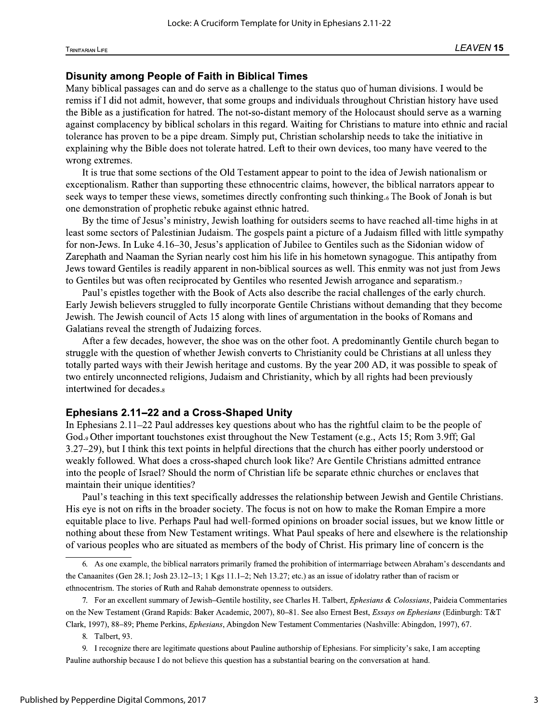**Disunity among People of Faith in Biblical Times**<br>Many biblical passages can and do serve as a challenge to the status quo of human divisions. I would be Locke: A Cruciform Template for Unity in Ephesians 2.11-22<br>LEAVEN 15<br>LEAVEN 15<br>Disunity among People of Faith in Biblical Times<br>Many biblical passages can and do serve as a challenge to the status quo of human divisions. I

seek ways to temper these views, sometimes directly confronting such thinking.<sub>6</sub> The Book of Jonah is but one demonstration of prophetic rebuke against ethnic hatred.

By the time of Jesus's ministry, Jewish loathing for outsiders seems to have reached all-time highs in at least some sectors of Palestinian Judaism. The gospels paint a picture of a Judaism filled with little sympathy for non-Jews. In Luke 4.16-30, Jesus's application of Jubilee to Gentiles such as the Sidonian widow of Zarephath and Naaman the Syrian nearly cost him his life in his hometown synagogue. This antipathy from Jews toward Gentiles is readily apparent in non-biblical sources as well. This enmity was not just from Jews to Gentiles but was often reciprocated by Gentiles who resented Jewish arrogance and separatism.

Paul's epistles together with the Book of Acts also describe the racial challenges of the early church. Early Jewish believers struggled to fully incorporate Gentile Christians without demanding that they become Jewish. The Jewish council of Acts 15 along with lines of argumentation in the books of Romans and Galatians reveal the strength of Judaizing forces.

After a few decades, however, the shoe was on the other foot. A predominantly Gentile church began to struggle with the question of whether Jewish converts to Christianity could be Christians at all unless they totally parted ways with their Jewish heritage and customs. By the year 200 AD, it was possible to speak of two entirely unconnected religions, Judaism and Christianity, which by all rights had been previously intertwined for decades.<sub>8</sub>

### Ephesians 2.11–22 and a Cross-Shaped Unity

In Ephesians 2.11–22 Paul addresses key questions about who has the rightful claim to be the people of God., Other important touchstones exist throughout the New Testament (e.g., Acts 15; Rom 3.9ff; Gal  $3.27-29$ , but I think this text points in helpful directions that the church has either poorly understood or weakly followed. What does a cross-shaped church look like? Are Gentile Christians admitted entrance into the people of Israel? Should the norm of Christian life be separate ethnic churches or enclaves that maintain their unique identities?

Paul's teaching in this text specifically addresses the relationship between Jewish and Gentile Christians. His eye is not on rifts in the broader society. The focus is not on how to make the Roman Empire a more equitable place to live. Perhaps Paul had well-formed opinions on broader social issues, but we know little or nothing about these from New Testament writings. What Paul speaks of here and elsewhere is the relationship  $\alpha$  of various peoples who are situated as members of the body of Christ. His primary line of concern is the

7. For an excellent summary of Jewish-Gentile hostility, see Charles H. Talbert, Ephesians & Colossians, Paideia Commentaries on the New Testament (Grand Rapids: Baker Academic, 2007), 80-81. See also Ernest Best, Essays on Ephesians (Edinburgh: T&T Clark, 1997), 88–89; Pheme Perkins, *Ephesians*, Abingdon New Testament Commentaries (Nashville: Abingdon, 1997), 67.

8. Talbert, 93.

9. I recognize there are legitimate questions about Pauline authorship of Ephesians. For simplicity's sake, I am accepting Pauline authorship because I do not believe this question has a substantial bearing on the conversation at hand.

<sup>6.</sup> As one example, the biblical narrators primarily framed the prohibition of intermarriage between Abraham's descendants and the Canaanites (Gen 28.1; Josh 23.12–13; 1 Kgs 11.1–2; Neh 13.27; etc.) as an issue of idolatry rather than of racism or ethnocentrism. The stories of Ruth and Rahab demonstrate openness to outsiders.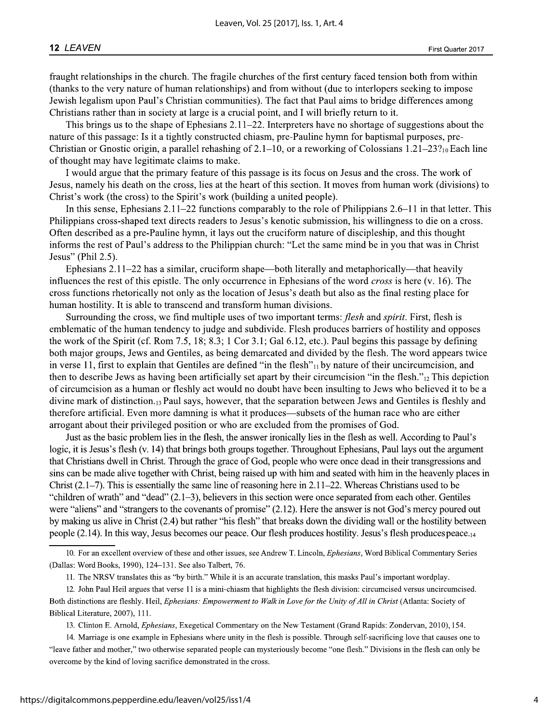fraught relationships in the church. The fragile churches of the first century faced tension both from within (thanks to the very nature of human relationships) and from without (due to interlopers seeking to impose Jewish legalism upon Paul's Christian communities). The fact that Paul aims to bridge differences among Christians rather than in society at large is a crucial point, and I will briefly return to it.

This brings us to the shape of Ephesians  $2.11-22$ . Interpreters have no shortage of suggestions about the nature of this passage: Is it a tightly constructed chiasm, pre-Pauline hymn for baptismal purposes, pre-Christian or Gnostic origin, a parallel rehashing of 2.1–10, or a reworking of Colossians 1.21–23?<sub>10</sub> Each line of thought may have legitimate claims to make.

I would argue that the primary feature of this passage is its focus on Jesus and the cross. The work of Jesus, namely his death on the cross, lies at the heart of this section. It moves from human work (divisions) to Christ's work (the cross) to the Spirit's work (building a united people).

In this sense, Ephesians  $2.11-22$  functions comparably to the role of Philippians  $2.6-11$  in that letter. This Philippians cross-shaped text directs readers to Jesus's kenotic submission, his willingness to die on a cross. Often described as a pre-Pauline hymn, it lays out the cruciform nature of discipleship, and this thought informs the rest of Paul's address to the Philippian church: "Let the same mind be in you that was in Christ Jesus" (Phil  $2.5$ ).

Ephesians  $2.11-22$  has a similar, cruciform shape—both literally and metaphorically—that heavily influences the rest of this epistle. The only occurrence in Ephesians of the word *cross* is here (v. 16). The cross functions rhetorically not only as the location of Jesus's death but also as the final resting place for human hostility. It is able to transcend and transform human divisions.

Surrounding the cross, we find multiple uses of two important terms: *flesh* and *spirit*. First, flesh is emblematic of the human tendency to judge and subdivide. Flesh produces barriers of hostility and opposes the work of the Spirit (cf. Rom 7.5, 18; 8.3; 1 Cor 3.1; Gal 6.12, etc.). Paul begins this passage by defining both major groups, Jews and Gentiles, as being demarcated and divided by the flesh. The word appears twice in verse 11, first to explain that Gentiles are defined "in the flesh" $_{11}$  by nature of their uncircumcision, and then to describe Jews as having been artificially set apart by their circumcision "in the flesh." $_{12}$ This depiction of circumcision as a human or fleshly act would no doubt have been insulting to Jews who believed it to be a divine mark of distinction.<sub>13</sub> Paul says, however, that the separation between Jews and Gentiles is fleshly and therefore artificial. Even more damning is what it produces—subsets of the human race who are either arrogant about their privileged position or who are excluded from the promises of God.

Just as the basic problem lies in the flesh, the answer ironically lies in the flesh as well. According to Paul's logic, it is Jesus's flesh (v. 14) that brings both groups together. Throughout Ephesians, Paul lays out the argument that Christians dwell in Christ. Through the grace of God, people who were once dead in their transgressions and sins can be made alive together with Christ, being raised up with him and seated with him in the heavenly places in Christ  $(2.1-7)$ . This is essentially the same line of reasoning here in 2.11–22. Whereas Christians used to be "children of wrath" and "dead" (2.1–3), believers in this section were once separated from each other. Gentiles were "aliens" and "strangers to the covenants of promise"  $(2.12)$ . Here the answer is not God's mercy poured out by making us alive in Christ (2.4) but rather "his flesh" that breaks down the dividing wall or the hostility between people (2.14). In this way, Jesus becomes our peace. Our flesh produces hostility. Jesus's flesh produces peace.

13. Clinton E. Arnold, Ephesians, Exegetical Commentary on the New Testament (Grand Rapids: Zondervan, 2010), 154.

<sup>10.</sup> For an excellent overview of these and other issues, see Andrew T. Lincoln, Ephesians, Word Biblical Commentary Series (Dallas: Word Books, 1990), 124-131. See also Talbert, 76.

<sup>11.</sup> The NRSV translates this as "by birth." While it is an accurate translation, this masks Paul's important wordplay.

<sup>12.</sup> John Paul Heil argues that verse 11 is a mini-chiasm that highlights the flesh division: circumcised versus uncircumcised. Both distinctions are fleshly. Heil, Ephesians: Empowerment to Walk in Love for the Unity of All in Christ (Atlanta: Society of Biblical Literature, 2007), 111.

<sup>14.</sup> Marriage is one example in Ephesians where unity in the flesh is possible. Through self-sacrificing love that causes one to "leave father and mother," two otherwise separated people can mysteriously become "one flesh." Divisions in the flesh can only be overcome by the kind of loving sacrifice demonstrated in the cross.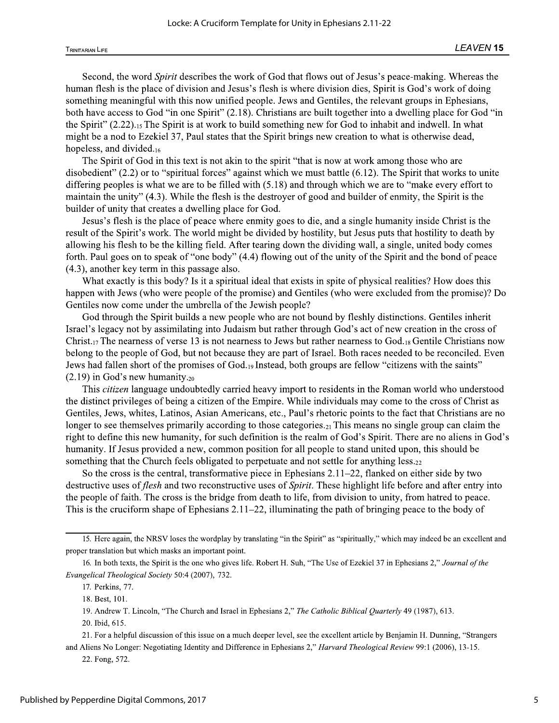**TRINITARIAN LIFE** 

Second, the word *Spirit* describes the work of God that flows out of Jesus's peace-making. Whereas the human flesh is the place of division and Jesus's flesh is where division dies, Spirit is God's work of doing something meaningful with this now unified people. Jews and Gentiles, the relevant groups in Ephesians, both have access to God "in one Spirit" (2.18). Christians are built together into a dwelling place for God "in the Spirit"  $(2.22)_{15}$  The Spirit is at work to build something new for God to inhabit and indwell. In what might be a nod to Ezekiel 37, Paul states that the Spirit brings new creation to what is otherwise dead, hopeless, and divided.16

The Spirit of God in this text is not akin to the spirit "that is now at work among those who are disobedient"  $(2.2)$  or to "spiritual forces" against which we must battle  $(6.12)$ . The Spirit that works to unite differing peoples is what we are to be filled with  $(5.18)$  and through which we are to "make every effort to maintain the unity" (4.3). While the flesh is the destroyer of good and builder of enmity, the Spirit is the builder of unity that creates a dwelling place for God.

Jesus's flesh is the place of peace where enmity goes to die, and a single humanity inside Christ is the result of the Spirit's work. The world might be divided by hostility, but Jesus puts that hostility to death by allowing his flesh to be the killing field. After tearing down the dividing wall, a single, united body comes forth. Paul goes on to speak of "one body" (4.4) flowing out of the unity of the Spirit and the bond of peace  $(4.3)$ , another key term in this passage also.

What exactly is this body? Is it a spiritual ideal that exists in spite of physical realities? How does this happen with Jews (who were people of the promise) and Gentiles (who were excluded from the promise)? Do Gentiles now come under the umbrella of the Jewish people?

God through the Spirit builds a new people who are not bound by fleshly distinctions. Gentiles inherit Israel's legacy not by assimilating into Judaism but rather through God's act of new creation in the cross of Christ.<sub>17</sub> The nearness of verse 13 is not nearness to Jews but rather nearness to God.<sub>18</sub> Gentile Christians now belong to the people of God, but not because they are part of Israel. Both races needed to be reconciled. Even Jews had fallen short of the promises of God.19 Instead, both groups are fellow "citizens with the saints"  $(2.19)$  in God's new humanity.<sub>20</sub>

This *citizen* language undoubtedly carried heavy import to residents in the Roman world who understood the distinct privileges of being a citizen of the Empire. While individuals may come to the cross of Christ as Gentiles, Jews, whites, Latinos, Asian Americans, etc., Paul's rhetoric points to the fact that Christians are no longer to see themselves primarily according to those categories.<sub>21</sub> This means no single group can claim the right to define this new humanity, for such definition is the realm of God's Spirit. There are no aliens in God's humanity. If Jesus provided a new, common position for all people to stand united upon, this should be something that the Church feels obligated to perpetuate and not settle for anything less.<sub>22</sub>

So the cross is the central, transformative piece in Ephesians  $2.11-22$ , flanked on either side by two destructive uses of flesh and two reconstructive uses of Spirit. These highlight life before and after entry into the people of faith. The cross is the bridge from death to life, from division to unity, from hatred to peace. This is the cruciform shape of Ephesians  $2.11-22$ , illuminating the path of bringing peace to the body of

21. For a helpful discussion of this issue on a much deeper level, see the excellent article by Benjamin H. Dunning, "Strangers" and Aliens No Longer: Negotiating Identity and Difference in Ephesians 2," Harvard Theological Review 99:1 (2006), 13-15.

22. Fong, 572.

<sup>15.</sup> Here again, the NRSV loses the wordplay by translating "in the Spirit" as "spiritually," which may indeed be an excellent and proper translation but which masks an important point.

<sup>16.</sup> In both texts, the Spirit is the one who gives life. Robert H. Suh, "The Use of Ezekiel 37 in Ephesians 2," Journal of the Evangelical Theological Society 50:4 (2007), 732.

<sup>17.</sup> Perkins, 77.

<sup>18.</sup> Best, 101.

<sup>19.</sup> Andrew T. Lincoln, "The Church and Israel in Ephesians 2," The Catholic Biblical Quarterly 49 (1987), 613.

<sup>20.</sup> Ibid, 615.